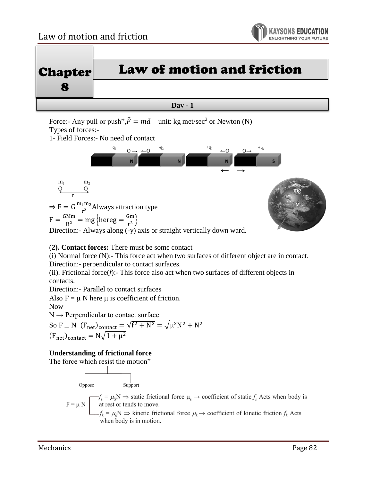



Force:- Any pull or push", $\vec{F} = m\vec{a}$  unit: kg met/sec<sup>2</sup> or Newton (N) Types of forces:-

1- Field Forces:- No need of contact



$$
\overset{m_1}{\underset{r}{\underbrace{O}}}\overset{m_2}{\underset{r}{\underbrace{O}}}
$$

 $\Rightarrow$  F = G $\frac{m_1 m_2}{r^2}$  $\frac{1}{r^2}$ Always attraction type

$$
F = \frac{GMm}{R^2} = mg \left\{ hereg = \frac{Gm}{r^2} \right\}
$$

Direction:- Always along (-y) axis or straight vertically down ward.

## (**2). Contact forces:** There must be some contact

(i) Normal force (N):- This force act when two surfaces of different object are in contact. Direction:- perpendicular to contact surfaces.

(ii). Frictional force(*f*):- This force also act when two surfaces of different objects in contacts.

Direction:- Parallel to contact surfaces

Also  $F = \mu N$  here  $\mu$  is coefficient of friction.

Now

 $N \rightarrow$  Perpendicular to contact surface

So F 
$$
\perp
$$
 N (F<sub>net</sub>)<sub>contact</sub> =  $\sqrt{f^2 + N^2} = \sqrt{\mu^2 N^2 + N^2}$   
(F<sub>net</sub>)<sub>contact</sub> =  $N\sqrt{1 + \mu^2}$ 

## **Understanding of frictional force**

The force which resist the motion"



 $F = \mu N$   $f_s = \mu_s N \Rightarrow$  static frictional force  $\mu_s \rightarrow$  coefficient of static  $f_s$  Acts when body is<br>  $F = \mu N$   $f_k = \mu_k N \Rightarrow$  kinetic frictional force  $\mu_k \rightarrow$  coefficient of kinetic friction  $f_k$  Acts

when body is in motion.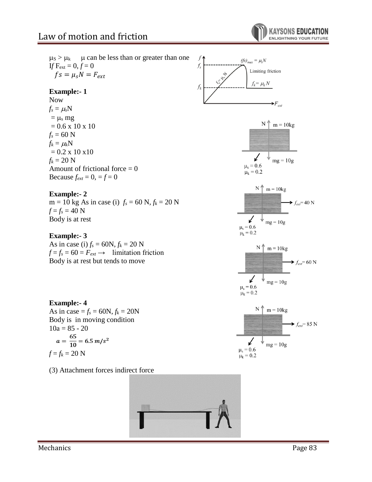

 $\mu_s > \mu_k$   $\mu$  can be less than or greater than one  $\int$  $(fs)_{max} = \mu_s N$  $f_{s}$ If  $F_{ext} = 0, f = 0$ Limiting friction  $fs = \mu_s N = F_{ext}$  $f_k = \mu_k N$  $f_l$ **Example:- 1**  Now  $\cdot F_{ext}$  $f_s = \mu_s N$  $= \mu_s mg$  $m = 10kg$ N  $= 0.6$  x 10 x 10  $f_s = 60$  N  $f_k = \mu_k N$  $= 0.2 \times 10 \times 10$ ↙  $mg = 10g$  $f_k = 20$  N  $\mu_{\rm s}=0.6$ Amount of frictional force  $= 0$  $\mu_k = 0.2$ Because  $f_{ext} = 0, f = 0$  $N$  $m = 10kg$ **Example:- 2**   $m = 10$  kg As in case (i)  $f_s = 60$  N,  $f_k = 20$  N  $f_{ext} = 40$  N  $f = f_s = 40$  N  $\sqrt{ }$ Body is at rest  $mg = 10g$  $\mu_s = 0.6$ <br> $\mu_k = 0.2$ **Example:- 3**  As in case (i)  $f_s = 60N$ ,  $f_k = 20N$  $m = 10kg$ Ν↑  $f = f_s = 60 = F_{ext} \rightarrow$  limitation friction Body is at rest but tends to move  $\blacktriangleright$   $f_{ext}$ = 60 N ↙  $mg = 10g$  $\mu_{\rm s} = 0.6$  $\mu_k = 0.2$ **Example:- 4**   $\uparrow$  m = 10kg As in case =  $f_s = 60N$ ,  $f_k = 20N$ Body is in moving condition  $f_{ext} = 85$  N  $10a = 85 - 20$ <br> $a = \frac{65}{10} = 6.5$  m/s<sup>2</sup>  $mg = 10g$  $\mu_{s} = 0.6$  $f = f_k = 20$  N  $\mu_k = 0.2$ (3) Attachment forces indirect force